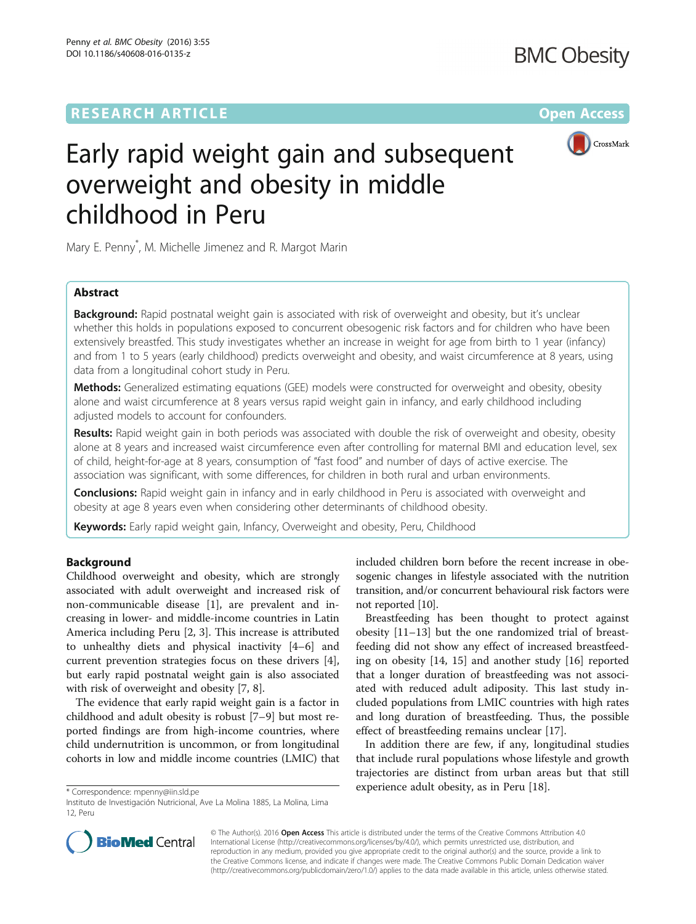## **RESEARCH ARTICLE Example 2014 12:30 The Contract of Contract ACCESS**



# Early rapid weight gain and subsequent overweight and obesity in middle childhood in Peru

Mary E. Penny\* , M. Michelle Jimenez and R. Margot Marin

## Abstract

**Background:** Rapid postnatal weight gain is associated with risk of overweight and obesity, but it's unclear whether this holds in populations exposed to concurrent obesogenic risk factors and for children who have been extensively breastfed. This study investigates whether an increase in weight for age from birth to 1 year (infancy) and from 1 to 5 years (early childhood) predicts overweight and obesity, and waist circumference at 8 years, using data from a longitudinal cohort study in Peru.

Methods: Generalized estimating equations (GEE) models were constructed for overweight and obesity, obesity alone and waist circumference at 8 years versus rapid weight gain in infancy, and early childhood including adjusted models to account for confounders.

Results: Rapid weight gain in both periods was associated with double the risk of overweight and obesity, obesity alone at 8 years and increased waist circumference even after controlling for maternal BMI and education level, sex of child, height-for-age at 8 years, consumption of "fast food" and number of days of active exercise. The association was significant, with some differences, for children in both rural and urban environments.

**Conclusions:** Rapid weight gain in infancy and in early childhood in Peru is associated with overweight and obesity at age 8 years even when considering other determinants of childhood obesity.

Keywords: Early rapid weight gain, Infancy, Overweight and obesity, Peru, Childhood

## Background

Childhood overweight and obesity, which are strongly associated with adult overweight and increased risk of non-communicable disease [[1\]](#page-6-0), are prevalent and increasing in lower- and middle-income countries in Latin America including Peru [\[2](#page-6-0), [3](#page-6-0)]. This increase is attributed to unhealthy diets and physical inactivity [\[4](#page-6-0)–[6](#page-6-0)] and current prevention strategies focus on these drivers [\[4](#page-6-0)], but early rapid postnatal weight gain is also associated with risk of overweight and obesity [[7](#page-6-0), [8](#page-6-0)].

The evidence that early rapid weight gain is a factor in childhood and adult obesity is robust [[7](#page-6-0)–[9](#page-6-0)] but most reported findings are from high-income countries, where child undernutrition is uncommon, or from longitudinal cohorts in low and middle income countries (LMIC) that

included children born before the recent increase in obesogenic changes in lifestyle associated with the nutrition transition, and/or concurrent behavioural risk factors were not reported [[10](#page-6-0)].

Breastfeeding has been thought to protect against obesity [\[11](#page-6-0)–[13\]](#page-6-0) but the one randomized trial of breastfeeding did not show any effect of increased breastfeeding on obesity [\[14, 15\]](#page-6-0) and another study [[16\]](#page-6-0) reported that a longer duration of breastfeeding was not associated with reduced adult adiposity. This last study included populations from LMIC countries with high rates and long duration of breastfeeding. Thus, the possible effect of breastfeeding remains unclear [[17\]](#page-6-0).

In addition there are few, if any, longitudinal studies that include rural populations whose lifestyle and growth trajectories are distinct from urban areas but that still \*Correspondence: mpenny@iin.sld.pe experience adult obesity, as in Peru [[18\]](#page-6-0).



© The Author(s). 2016 Open Access This article is distributed under the terms of the Creative Commons Attribution 4.0 International License [\(http://creativecommons.org/licenses/by/4.0/](http://creativecommons.org/licenses/by/4.0/)), which permits unrestricted use, distribution, and reproduction in any medium, provided you give appropriate credit to the original author(s) and the source, provide a link to the Creative Commons license, and indicate if changes were made. The Creative Commons Public Domain Dedication waiver [\(http://creativecommons.org/publicdomain/zero/1.0/](http://creativecommons.org/publicdomain/zero/1.0/)) applies to the data made available in this article, unless otherwise stated.

Instituto de Investigación Nutricional, Ave La Molina 1885, La Molina, Lima 12, Peru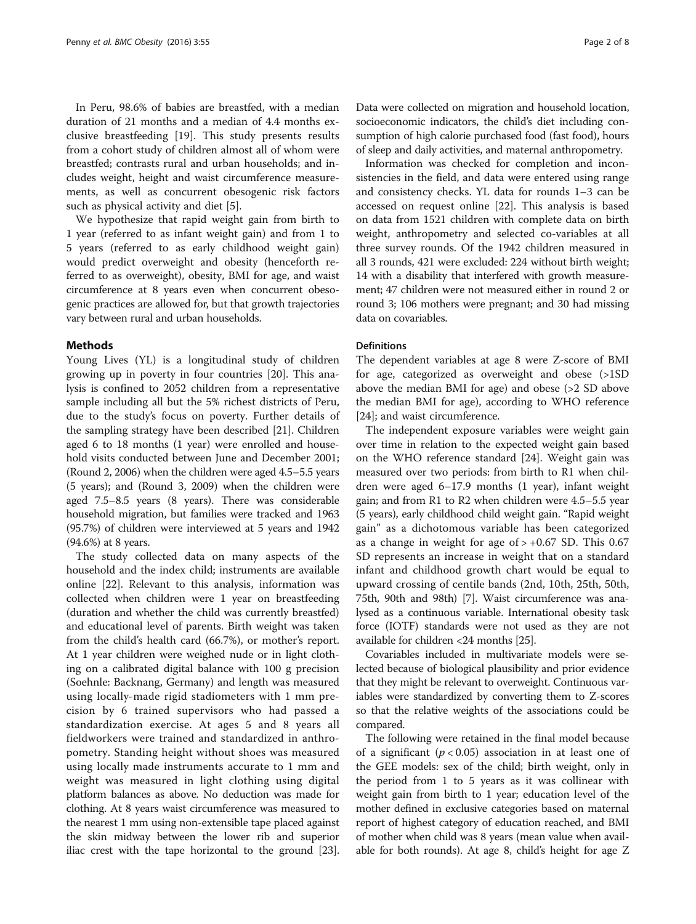In Peru, 98.6% of babies are breastfed, with a median duration of 21 months and a median of 4.4 months exclusive breastfeeding [[19](#page-6-0)]. This study presents results from a cohort study of children almost all of whom were breastfed; contrasts rural and urban households; and includes weight, height and waist circumference measurements, as well as concurrent obesogenic risk factors such as physical activity and diet [[5\]](#page-6-0).

We hypothesize that rapid weight gain from birth to 1 year (referred to as infant weight gain) and from 1 to 5 years (referred to as early childhood weight gain) would predict overweight and obesity (henceforth referred to as overweight), obesity, BMI for age, and waist circumference at 8 years even when concurrent obesogenic practices are allowed for, but that growth trajectories vary between rural and urban households.

## Methods

Young Lives (YL) is a longitudinal study of children growing up in poverty in four countries [[20\]](#page-6-0). This analysis is confined to 2052 children from a representative sample including all but the 5% richest districts of Peru, due to the study's focus on poverty. Further details of the sampling strategy have been described [[21](#page-6-0)]. Children aged 6 to 18 months (1 year) were enrolled and household visits conducted between June and December 2001; (Round 2, 2006) when the children were aged 4.5–5.5 years (5 years); and (Round 3, 2009) when the children were aged 7.5–8.5 years (8 years). There was considerable household migration, but families were tracked and 1963 (95.7%) of children were interviewed at 5 years and 1942 (94.6%) at 8 years.

The study collected data on many aspects of the household and the index child; instruments are available online [\[22](#page-7-0)]. Relevant to this analysis, information was collected when children were 1 year on breastfeeding (duration and whether the child was currently breastfed) and educational level of parents. Birth weight was taken from the child's health card (66.7%), or mother's report. At 1 year children were weighed nude or in light clothing on a calibrated digital balance with 100 g precision (Soehnle: Backnang, Germany) and length was measured using locally-made rigid stadiometers with 1 mm precision by 6 trained supervisors who had passed a standardization exercise. At ages 5 and 8 years all fieldworkers were trained and standardized in anthropometry. Standing height without shoes was measured using locally made instruments accurate to 1 mm and weight was measured in light clothing using digital platform balances as above. No deduction was made for clothing. At 8 years waist circumference was measured to the nearest 1 mm using non-extensible tape placed against the skin midway between the lower rib and superior iliac crest with the tape horizontal to the ground [[23](#page-7-0)].

Data were collected on migration and household location, socioeconomic indicators, the child's diet including consumption of high calorie purchased food (fast food), hours of sleep and daily activities, and maternal anthropometry.

Information was checked for completion and inconsistencies in the field, and data were entered using range and consistency checks. YL data for rounds 1–3 can be accessed on request online [[22](#page-7-0)]. This analysis is based on data from 1521 children with complete data on birth weight, anthropometry and selected co-variables at all three survey rounds. Of the 1942 children measured in all 3 rounds, 421 were excluded: 224 without birth weight; 14 with a disability that interfered with growth measurement; 47 children were not measured either in round 2 or round 3; 106 mothers were pregnant; and 30 had missing data on covariables.

## Definitions

The dependent variables at age 8 were Z-score of BMI for age, categorized as overweight and obese (>1SD above the median BMI for age) and obese (>2 SD above the median BMI for age), according to WHO reference [[24\]](#page-7-0); and waist circumference.

The independent exposure variables were weight gain over time in relation to the expected weight gain based on the WHO reference standard [\[24](#page-7-0)]. Weight gain was measured over two periods: from birth to R1 when children were aged 6–17.9 months (1 year), infant weight gain; and from R1 to R2 when children were 4.5–5.5 year (5 years), early childhood child weight gain. "Rapid weight gain" as a dichotomous variable has been categorized as a change in weight for age of  $> +0.67$  SD. This 0.67 SD represents an increase in weight that on a standard infant and childhood growth chart would be equal to upward crossing of centile bands (2nd, 10th, 25th, 50th, 75th, 90th and 98th) [[7\]](#page-6-0). Waist circumference was analysed as a continuous variable. International obesity task force (IOTF) standards were not used as they are not available for children <24 months [\[25\]](#page-7-0).

Covariables included in multivariate models were selected because of biological plausibility and prior evidence that they might be relevant to overweight. Continuous variables were standardized by converting them to Z-scores so that the relative weights of the associations could be compared.

The following were retained in the final model because of a significant ( $p < 0.05$ ) association in at least one of the GEE models: sex of the child; birth weight, only in the period from 1 to 5 years as it was collinear with weight gain from birth to 1 year; education level of the mother defined in exclusive categories based on maternal report of highest category of education reached, and BMI of mother when child was 8 years (mean value when available for both rounds). At age 8, child's height for age Z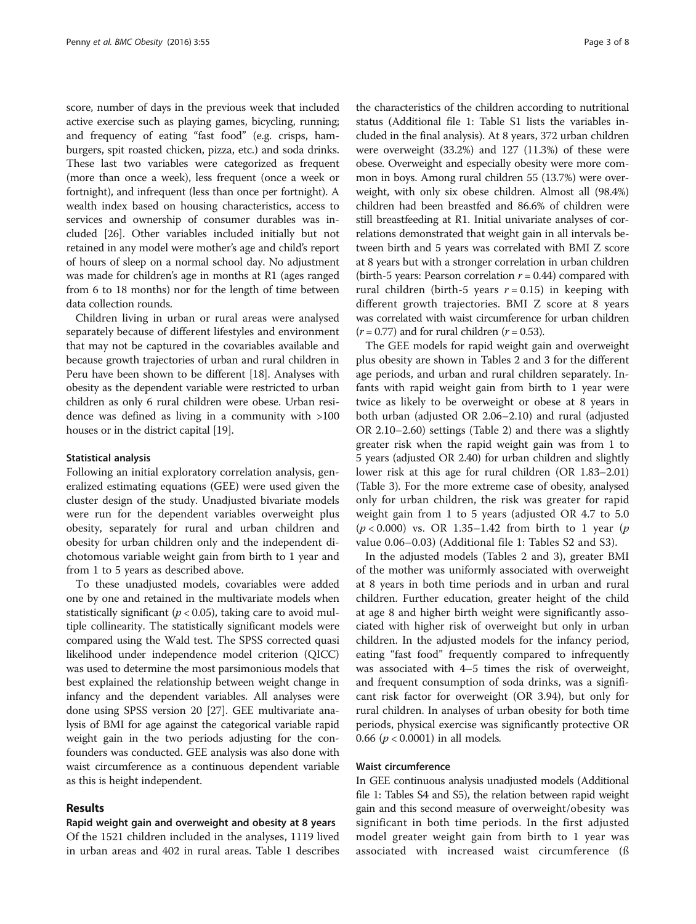score, number of days in the previous week that included active exercise such as playing games, bicycling, running; and frequency of eating "fast food" (e.g. crisps, hamburgers, spit roasted chicken, pizza, etc.) and soda drinks. These last two variables were categorized as frequent (more than once a week), less frequent (once a week or fortnight), and infrequent (less than once per fortnight). A wealth index based on housing characteristics, access to services and ownership of consumer durables was included [\[26\]](#page-7-0). Other variables included initially but not retained in any model were mother's age and child's report of hours of sleep on a normal school day. No adjustment was made for children's age in months at R1 (ages ranged from 6 to 18 months) nor for the length of time between data collection rounds.

Children living in urban or rural areas were analysed separately because of different lifestyles and environment that may not be captured in the covariables available and because growth trajectories of urban and rural children in Peru have been shown to be different [\[18\]](#page-6-0). Analyses with obesity as the dependent variable were restricted to urban children as only 6 rural children were obese. Urban residence was defined as living in a community with >100 houses or in the district capital [\[19](#page-6-0)].

#### Statistical analysis

Following an initial exploratory correlation analysis, generalized estimating equations (GEE) were used given the cluster design of the study. Unadjusted bivariate models were run for the dependent variables overweight plus obesity, separately for rural and urban children and obesity for urban children only and the independent dichotomous variable weight gain from birth to 1 year and from 1 to 5 years as described above.

To these unadjusted models, covariables were added one by one and retained in the multivariate models when statistically significant ( $p < 0.05$ ), taking care to avoid multiple collinearity. The statistically significant models were compared using the Wald test. The SPSS corrected quasi likelihood under independence model criterion (QICC) was used to determine the most parsimonious models that best explained the relationship between weight change in infancy and the dependent variables. All analyses were done using SPSS version 20 [\[27\]](#page-7-0). GEE multivariate analysis of BMI for age against the categorical variable rapid weight gain in the two periods adjusting for the confounders was conducted. GEE analysis was also done with waist circumference as a continuous dependent variable as this is height independent.

## Results

Rapid weight gain and overweight and obesity at 8 years Of the 1521 children included in the analyses, 1119 lived in urban areas and 402 in rural areas. Table [1](#page-3-0) describes

the characteristics of the children according to nutritional status (Additional file [1:](#page-6-0) Table S1 lists the variables included in the final analysis). At 8 years, 372 urban children were overweight (33.2%) and 127 (11.3%) of these were obese. Overweight and especially obesity were more common in boys. Among rural children 55 (13.7%) were overweight, with only six obese children. Almost all (98.4%) children had been breastfed and 86.6% of children were still breastfeeding at R1. Initial univariate analyses of correlations demonstrated that weight gain in all intervals between birth and 5 years was correlated with BMI Z score at 8 years but with a stronger correlation in urban children (birth-5 years: Pearson correlation  $r = 0.44$ ) compared with rural children (birth-5 years  $r = 0.15$ ) in keeping with different growth trajectories. BMI Z score at 8 years was correlated with waist circumference for urban children  $(r = 0.77)$  and for rural children  $(r = 0.53)$ .

The GEE models for rapid weight gain and overweight plus obesity are shown in Tables [2](#page-4-0) and [3](#page-5-0) for the different age periods, and urban and rural children separately. Infants with rapid weight gain from birth to 1 year were twice as likely to be overweight or obese at 8 years in both urban (adjusted OR 2.06–2.10) and rural (adjusted OR 2.10–2.60) settings (Table [2](#page-4-0)) and there was a slightly greater risk when the rapid weight gain was from 1 to 5 years (adjusted OR 2.40) for urban children and slightly lower risk at this age for rural children (OR 1.83–2.01) (Table [3\)](#page-5-0). For the more extreme case of obesity, analysed only for urban children, the risk was greater for rapid weight gain from 1 to 5 years (adjusted OR 4.7 to 5.0  $(p < 0.000)$  vs. OR 1.35-1.42 from birth to 1 year (p value 0.06–0.03) (Additional file [1](#page-6-0): Tables S2 and S3).

In the adjusted models (Tables [2](#page-4-0) and [3\)](#page-5-0), greater BMI of the mother was uniformly associated with overweight at 8 years in both time periods and in urban and rural children. Further education, greater height of the child at age 8 and higher birth weight were significantly associated with higher risk of overweight but only in urban children. In the adjusted models for the infancy period, eating "fast food" frequently compared to infrequently was associated with 4–5 times the risk of overweight, and frequent consumption of soda drinks, was a significant risk factor for overweight (OR 3.94), but only for rural children. In analyses of urban obesity for both time periods, physical exercise was significantly protective OR 0.66 ( $p < 0.0001$ ) in all models.

### Waist circumference

In GEE continuous analysis unadjusted models (Additional file [1](#page-6-0): Tables S4 and S5), the relation between rapid weight gain and this second measure of overweight/obesity was significant in both time periods. In the first adjusted model greater weight gain from birth to 1 year was associated with increased waist circumference (ß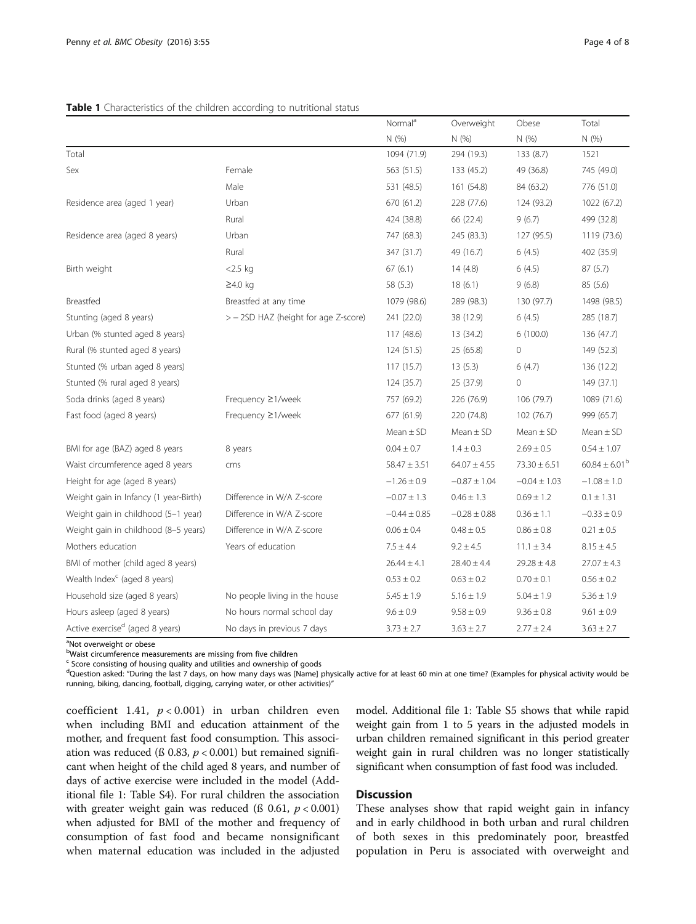## <span id="page-3-0"></span>Table 1 Characteristics of the children according to nutritional status

|                                             |                                      | Normal <sup>a</sup> | Overweight       | Obese            | Total                    |
|---------------------------------------------|--------------------------------------|---------------------|------------------|------------------|--------------------------|
|                                             |                                      | N (%)               | N (%)            | N (%)            | N (%)                    |
| Total                                       |                                      | 1094 (71.9)         | 294 (19.3)       | 133 (8.7)        | 1521                     |
| Sex                                         | Female                               | 563 (51.5)          | 133 (45.2)       | 49 (36.8)        | 745 (49.0)               |
|                                             | Male                                 | 531 (48.5)          | 161 (54.8)       | 84 (63.2)        | 776 (51.0)               |
| Residence area (aged 1 year)                | Urban                                | 670 (61.2)          | 228 (77.6)       | 124 (93.2)       | 1022 (67.2)              |
|                                             | Rural                                | 424 (38.8)          | 66 (22.4)        | 9(6.7)           | 499 (32.8)               |
| Residence area (aged 8 years)               | Urban                                | 747 (68.3)          | 245 (83.3)       | 127 (95.5)       | 1119 (73.6)              |
|                                             | Rural                                | 347 (31.7)          | 49 (16.7)        | 6(4.5)           | 402 (35.9)               |
| Birth weight                                | $<$ 2.5 kg                           | 67(6.1)             | 14(4.8)          | 6(4.5)           | 87(5.7)                  |
|                                             | $\geq$ 4.0 kg                        | 58 (5.3)            | 18(6.1)          | 9(6.8)           | 85(5.6)                  |
| Breastfed                                   | Breastfed at any time                | 1079 (98.6)         | 289 (98.3)       | 130 (97.7)       | 1498 (98.5)              |
| Stunting (aged 8 years)                     | > - 2SD HAZ (height for age Z-score) | 241 (22.0)          | 38 (12.9)        | 6(4.5)           | 285 (18.7)               |
| Urban (% stunted aged 8 years)              |                                      | 117 (48.6)          | 13 (34.2)        | 6(100.0)         | 136 (47.7)               |
| Rural (% stunted aged 8 years)              |                                      | 124(51.5)           | 25 (65.8)        | 0                | 149 (52.3)               |
| Stunted (% urban aged 8 years)              |                                      | 117(15.7)           | 13(5.3)          | 6(4.7)           | 136 (12.2)               |
| Stunted (% rural aged 8 years)              |                                      | 124 (35.7)          | 25 (37.9)        | 0                | 149 (37.1)               |
| Soda drinks (aged 8 years)                  | Frequency ≥1/week                    | 757 (69.2)          | 226 (76.9)       | 106 (79.7)       | 1089 (71.6)              |
| Fast food (aged 8 years)                    | Frequency ≥1/week                    | 677 (61.9)          | 220 (74.8)       | 102 (76.7)       | 999 (65.7)               |
|                                             |                                      | Mean $\pm$ SD       | Mean $\pm$ SD    | Mean $\pm$ SD    | Mean $\pm$ SD            |
| BMI for age (BAZ) aged 8 years              | 8 years                              | $0.04 \pm 0.7$      | $1.4 \pm 0.3$    | $2.69 \pm 0.5$   | $0.54 \pm 1.07$          |
| Waist circumference aged 8 years            | cms                                  | $58.47 \pm 3.51$    | $64.07 \pm 4.55$ | $73.30 \pm 6.51$ | $60.84 \pm 6.01^{\rm b}$ |
| Height for age (aged 8 years)               |                                      | $-1.26 \pm 0.9$     | $-0.87 \pm 1.04$ | $-0.04 \pm 1.03$ | $-1.08 \pm 1.0$          |
| Weight gain in Infancy (1 year-Birth)       | Difference in W/A Z-score            | $-0.07 \pm 1.3$     | $0.46 \pm 1.3$   | $0.69 \pm 1.2$   | $0.1 \pm 1.31$           |
| Weight gain in childhood (5-1 year)         | Difference in W/A Z-score            | $-0.44 \pm 0.85$    | $-0.28 \pm 0.88$ | $0.36 \pm 1.1$   | $-0.33 \pm 0.9$          |
| Weight gain in childhood (8-5 years)        | Difference in W/A Z-score            | $0.06 \pm 0.4$      | $0.48 \pm 0.5$   | $0.86 \pm 0.8$   | $0.21 \pm 0.5$           |
| Mothers education                           | Years of education                   | $7.5 \pm 4.4$       | $9.2 \pm 4.5$    | $11.1 \pm 3.4$   | $8.15 \pm 4.5$           |
| BMI of mother (child aged 8 years)          |                                      | $26.44 \pm 4.1$     | $28.40 \pm 4.4$  | $29.28 \pm 4.8$  | $27.07 \pm 4.3$          |
| Wealth Index <sup>c</sup> (aged 8 years)    |                                      | $0.53 \pm 0.2$      | $0.63 \pm 0.2$   | $0.70 \pm 0.1$   | $0.56 \pm 0.2$           |
| Household size (aged 8 years)               | No people living in the house        | $5.45 \pm 1.9$      | $5.16 \pm 1.9$   | $5.04 \pm 1.9$   | $5.36 \pm 1.9$           |
| Hours asleep (aged 8 years)                 | No hours normal school day           | $9.6 \pm 0.9$       | $9.58 \pm 0.9$   | $9.36 \pm 0.8$   | $9.61 \pm 0.9$           |
| Active exercise <sup>d</sup> (aged 8 years) | No days in previous 7 days           | $3.73 \pm 2.7$      | $3.63 \pm 2.7$   | $2.77 \pm 2.4$   | $3.63 \pm 2.7$           |
|                                             |                                      |                     |                  |                  |                          |

<sup>a</sup>Not overweight or obese

<sup>b</sup>Waist circumference measurements are missing from five children

 $\epsilon$  Score consisting of housing quality and utilities and ownership of goods

dQuestion asked: "During the last 7 days, on how many days was [Name] physically active for at least 60 min at one time? (Examples for physical activity would be running, biking, dancing, football, digging, carrying water, or other activities)"

coefficient 1.41,  $p < 0.001$ ) in urban children even when including BMI and education attainment of the mother, and frequent fast food consumption. This association was reduced ( $\beta$  0.83,  $p < 0.001$ ) but remained significant when height of the child aged 8 years, and number of days of active exercise were included in the model (Additional file [1:](#page-6-0) Table S4). For rural children the association with greater weight gain was reduced ( $\beta$  0.61,  $p < 0.001$ ) when adjusted for BMI of the mother and frequency of consumption of fast food and became nonsignificant when maternal education was included in the adjusted

model. Additional file [1:](#page-6-0) Table S5 shows that while rapid weight gain from 1 to 5 years in the adjusted models in urban children remained significant in this period greater weight gain in rural children was no longer statistically significant when consumption of fast food was included.

## **Discussion**

These analyses show that rapid weight gain in infancy and in early childhood in both urban and rural children of both sexes in this predominately poor, breastfed population in Peru is associated with overweight and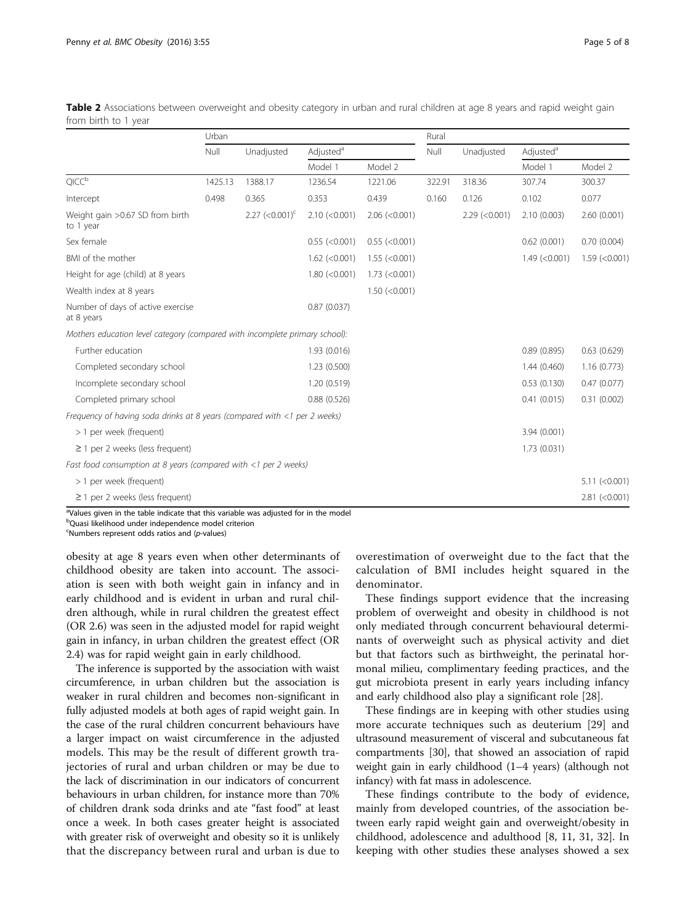|                                                                                    | Urban   |                              |                       | Rural               |        |                 |                       |                    |
|------------------------------------------------------------------------------------|---------|------------------------------|-----------------------|---------------------|--------|-----------------|-----------------------|--------------------|
|                                                                                    | Null    | Unadjusted                   | Adjusted <sup>a</sup> |                     | Null   | Unadjusted      | Adjusted <sup>a</sup> |                    |
|                                                                                    |         |                              | Model 1               | Model 2             |        |                 | Model 1               | Model 2            |
| $\mathsf{QICC}^{\rm b}$                                                            | 1425.13 | 1388.17                      | 1236.54               | 1221.06             | 322.91 | 318.36          | 307.74                | 300.37             |
| Intercept                                                                          | 0.498   | 0.365                        | 0.353                 | 0.439               | 0.160  | 0.126           | 0.102                 | 0.077              |
| Weight gain > 0.67 SD from birth<br>to 1 year                                      |         | 2.27 $(<0.001)$ <sup>c</sup> | $2.10$ (<0.001)       | $2.06$ (< $0.001$ ) |        | $2.29$ (<0.001) | 2.10(0.003)           | 2.60(0.001)        |
| Sex female                                                                         |         |                              | $0.55$ (< $0.001$ )   | $0.55$ (< $0.001$ ) |        |                 | 0.62(0.001)           | 0.70(0.004)        |
| BMI of the mother                                                                  |         |                              | $1.62$ (<0.001)       | $1.55$ (<0.001)     |        |                 | $1.49$ (<0.001)       | $1.59$ (<0.001)    |
| Height for age (child) at 8 years                                                  |         |                              | $1.80$ (<0.001)       | $1.73$ (<0.001)     |        |                 |                       |                    |
| Wealth index at 8 years                                                            |         |                              |                       | $1.50$ (<0.001)     |        |                 |                       |                    |
| Number of days of active exercise<br>at 8 years                                    |         |                              | 0.87(0.037)           |                     |        |                 |                       |                    |
| Mothers education level category (compared with incomplete primary school):        |         |                              |                       |                     |        |                 |                       |                    |
| Further education                                                                  |         |                              | 1.93(0.016)           |                     |        |                 | 0.89(0.895)           | 0.63(0.629)        |
| Completed secondary school                                                         |         |                              | 1.23(0.500)           |                     |        |                 | 1.44(0.460)           | 1.16(0.773)        |
| Incomplete secondary school                                                        |         |                              | 1.20(0.519)           |                     |        |                 | 0.53(0.130)           | 0.47(0.077)        |
| Completed primary school                                                           |         |                              | 0.88(0.526)           |                     |        |                 | 0.41(0.015)           | 0.31(0.002)        |
| Frequency of having soda drinks at 8 years (compared with $\langle$ 1 per 2 weeks) |         |                              |                       |                     |        |                 |                       |                    |
| > 1 per week (frequent)                                                            |         |                              |                       |                     |        |                 | 3.94 (0.001)          |                    |
| $\geq$ 1 per 2 weeks (less frequent)                                               |         |                              |                       |                     |        |                 | 1.73 (0.031)          |                    |
| Fast food consumption at 8 years (compared with $\langle$ 1 per 2 weeks)           |         |                              |                       |                     |        |                 |                       |                    |
| > 1 per week (frequent)                                                            |         |                              |                       |                     |        |                 |                       | $5.11 (\le 0.001)$ |
| $\geq$ 1 per 2 weeks (less frequent)                                               |         |                              |                       |                     |        |                 |                       | $2.81$ (<0.001)    |

<span id="page-4-0"></span>Table 2 Associations between overweight and obesity category in urban and rural children at age 8 years and rapid weight gain from birth to 1 year

<sup>a</sup>Values given in the table indicate that this variable was adjusted for in the model

<sup>b</sup>Quasi likelihood under independence model criterion

<sup>c</sup>Numbers represent odds ratios and (p-values)

obesity at age 8 years even when other determinants of childhood obesity are taken into account. The association is seen with both weight gain in infancy and in early childhood and is evident in urban and rural children although, while in rural children the greatest effect (OR 2.6) was seen in the adjusted model for rapid weight gain in infancy, in urban children the greatest effect (OR 2.4) was for rapid weight gain in early childhood.

The inference is supported by the association with waist circumference, in urban children but the association is weaker in rural children and becomes non-significant in fully adjusted models at both ages of rapid weight gain. In the case of the rural children concurrent behaviours have a larger impact on waist circumference in the adjusted models. This may be the result of different growth trajectories of rural and urban children or may be due to the lack of discrimination in our indicators of concurrent behaviours in urban children, for instance more than 70% of children drank soda drinks and ate "fast food" at least once a week. In both cases greater height is associated with greater risk of overweight and obesity so it is unlikely that the discrepancy between rural and urban is due to

overestimation of overweight due to the fact that the calculation of BMI includes height squared in the denominator.

These findings support evidence that the increasing problem of overweight and obesity in childhood is not only mediated through concurrent behavioural determinants of overweight such as physical activity and diet but that factors such as birthweight, the perinatal hormonal milieu, complimentary feeding practices, and the gut microbiota present in early years including infancy and early childhood also play a significant role [\[28\]](#page-7-0).

These findings are in keeping with other studies using more accurate techniques such as deuterium [[29\]](#page-7-0) and ultrasound measurement of visceral and subcutaneous fat compartments [\[30\]](#page-7-0), that showed an association of rapid weight gain in early childhood (1–4 years) (although not infancy) with fat mass in adolescence.

These findings contribute to the body of evidence, mainly from developed countries, of the association between early rapid weight gain and overweight/obesity in childhood, adolescence and adulthood [[8, 11](#page-6-0), [31, 32](#page-7-0)]. In keeping with other studies these analyses showed a sex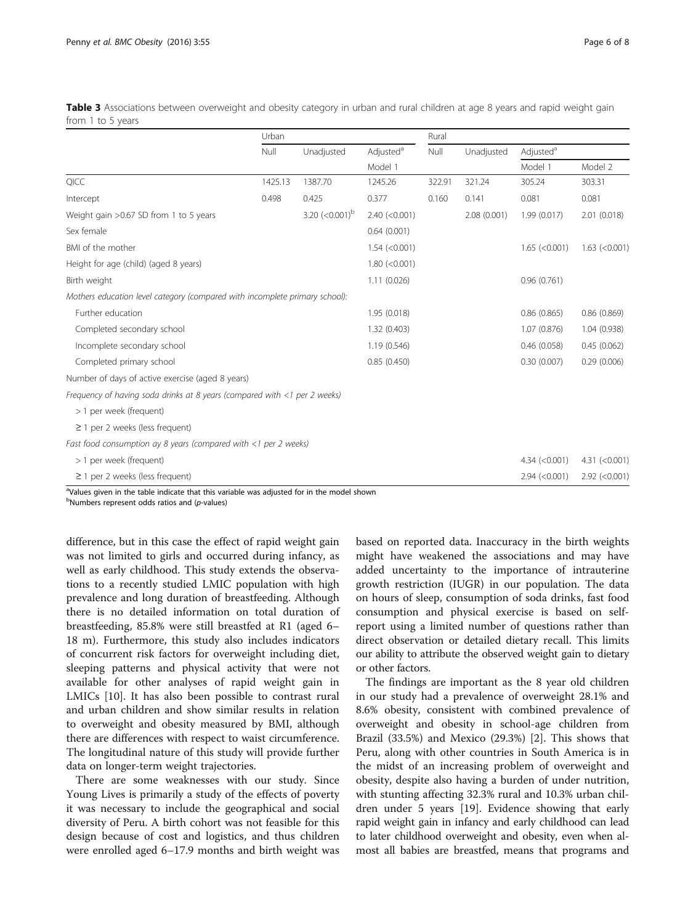|                                                                                    | Urban   |                     |                                  | Rural  |             |                       |                 |
|------------------------------------------------------------------------------------|---------|---------------------|----------------------------------|--------|-------------|-----------------------|-----------------|
|                                                                                    | Null    | Unadjusted          | Adjusted <sup>a</sup><br>Model 1 | Null   | Unadjusted  | Adjusted <sup>a</sup> |                 |
|                                                                                    |         |                     |                                  |        |             | Model 1               | Model 2         |
| <b>OICC</b>                                                                        | 1425.13 | 1387.70             | 1245.26                          | 322.91 | 321.24      | 305.24                | 303.31          |
| Intercept                                                                          | 0.498   | 0.425               | 0.377                            | 0.160  | 0.141       | 0.081                 | 0.081           |
| Weight gain > 0.67 SD from 1 to 5 years                                            |         | 3.20 $(<0.001)^{b}$ | $2.40$ (<0.001)                  |        | 2.08(0.001) | 1.99 (0.017)          | 2.01 (0.018)    |
| Sex female                                                                         |         |                     | 0.64(0.001)                      |        |             |                       |                 |
| BMI of the mother                                                                  |         |                     | $1.54$ (<0.001)                  |        |             | $1.65$ (<0.001)       | $1.63$ (<0.001) |
| Height for age (child) (aged 8 years)                                              |         |                     | $1.80$ (<0.001)                  |        |             |                       |                 |
| Birth weight                                                                       |         |                     | 1.11(0.026)                      |        |             | 0.96(0.761)           |                 |
| Mothers education level category (compared with incomplete primary school):        |         |                     |                                  |        |             |                       |                 |
| Further education                                                                  |         |                     | 1.95(0.018)                      |        |             | 0.86(0.865)           | 0.86 (0.869)    |
| Completed secondary school                                                         |         |                     | 1.32(0.403)                      |        |             | 1.07(0.876)           | 1.04 (0.938)    |
| Incomplete secondary school                                                        |         |                     | 1.19(0.546)                      |        |             | 0.46(0.058)           | 0.45(0.062)     |
| Completed primary school                                                           |         |                     | 0.85(0.450)                      |        |             | 0.30(0.007)           | 0.29(0.006)     |
| Number of days of active exercise (aged 8 years)                                   |         |                     |                                  |        |             |                       |                 |
| Frequency of having soda drinks at 8 years (compared with $\langle$ 1 per 2 weeks) |         |                     |                                  |        |             |                       |                 |
| > 1 per week (frequent)                                                            |         |                     |                                  |        |             |                       |                 |
| $\geq$ 1 per 2 weeks (less frequent)                                               |         |                     |                                  |        |             |                       |                 |
| Fast food consumption ay 8 years (compared with $\langle$ 1 per 2 weeks)           |         |                     |                                  |        |             |                       |                 |
| > 1 per week (frequent)                                                            |         |                     |                                  |        |             | $4.34$ (<0.001)       | $4.31$ (<0.001) |
| $\geq$ 1 per 2 weeks (less frequent)                                               |         |                     |                                  |        |             | $2.94$ (<0.001)       | $2.92$ (<0.001) |

<span id="page-5-0"></span>Table 3 Associations between overweight and obesity category in urban and rural children at age 8 years and rapid weight gain from 1 to 5 years

<sup>a</sup>Values given in the table indicate that this variable was adjusted for in the model shown

<sup>b</sup>Numbers represent odds ratios and (p-values)

difference, but in this case the effect of rapid weight gain was not limited to girls and occurred during infancy, as well as early childhood. This study extends the observations to a recently studied LMIC population with high prevalence and long duration of breastfeeding. Although there is no detailed information on total duration of breastfeeding, 85.8% were still breastfed at R1 (aged 6– 18 m). Furthermore, this study also includes indicators of concurrent risk factors for overweight including diet, sleeping patterns and physical activity that were not available for other analyses of rapid weight gain in LMICs [[10](#page-6-0)]. It has also been possible to contrast rural and urban children and show similar results in relation to overweight and obesity measured by BMI, although there are differences with respect to waist circumference. The longitudinal nature of this study will provide further data on longer-term weight trajectories.

There are some weaknesses with our study. Since Young Lives is primarily a study of the effects of poverty it was necessary to include the geographical and social diversity of Peru. A birth cohort was not feasible for this design because of cost and logistics, and thus children were enrolled aged 6–17.9 months and birth weight was based on reported data. Inaccuracy in the birth weights might have weakened the associations and may have added uncertainty to the importance of intrauterine growth restriction (IUGR) in our population. The data on hours of sleep, consumption of soda drinks, fast food consumption and physical exercise is based on selfreport using a limited number of questions rather than direct observation or detailed dietary recall. This limits our ability to attribute the observed weight gain to dietary or other factors.

The findings are important as the 8 year old children in our study had a prevalence of overweight 28.1% and 8.6% obesity, consistent with combined prevalence of overweight and obesity in school-age children from Brazil (33.5%) and Mexico (29.3%) [\[2](#page-6-0)]. This shows that Peru, along with other countries in South America is in the midst of an increasing problem of overweight and obesity, despite also having a burden of under nutrition, with stunting affecting 32.3% rural and 10.3% urban children under 5 years [\[19\]](#page-6-0). Evidence showing that early rapid weight gain in infancy and early childhood can lead to later childhood overweight and obesity, even when almost all babies are breastfed, means that programs and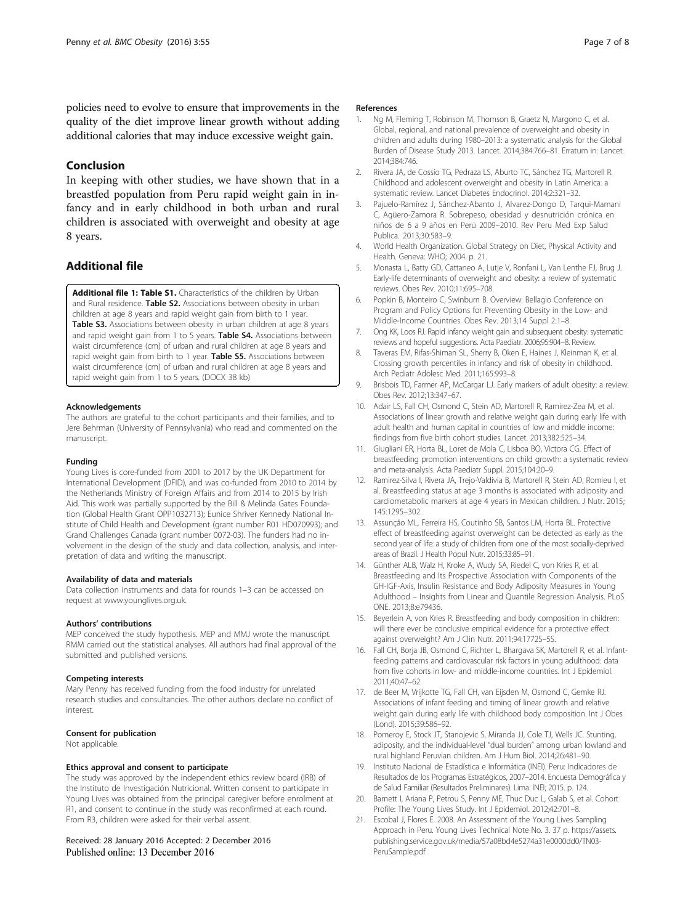<span id="page-6-0"></span>policies need to evolve to ensure that improvements in the quality of the diet improve linear growth without adding additional calories that may induce excessive weight gain.

## Conclusion

In keeping with other studies, we have shown that in a breastfed population from Peru rapid weight gain in infancy and in early childhood in both urban and rural children is associated with overweight and obesity at age 8 years.

## Additional file

[Additional file 1: Table S1.](dx.doi.org/10.1186/s40608-016-0135-z) Characteristics of the children by Urban and Rural residence. Table S2. Associations between obesity in urban children at age 8 years and rapid weight gain from birth to 1 year. Table S3. Associations between obesity in urban children at age 8 years and rapid weight gain from 1 to 5 years. Table S4. Associations between waist circumference (cm) of urban and rural children at age 8 years and rapid weight gain from birth to 1 year. Table S5. Associations between waist circumference (cm) of urban and rural children at age 8 years and rapid weight gain from 1 to 5 years. (DOCX 38 kb)

#### Acknowledgements

The authors are grateful to the cohort participants and their families, and to Jere Behrman (University of Pennsylvania) who read and commented on the manuscript.

#### Funding

Young Lives is core-funded from 2001 to 2017 by the UK Department for International Development (DFID), and was co-funded from 2010 to 2014 by the Netherlands Ministry of Foreign Affairs and from 2014 to 2015 by Irish Aid. This work was partially supported by the Bill & Melinda Gates Foundation (Global Health Grant OPP1032713); Eunice Shriver Kennedy National Institute of Child Health and Development (grant number R01 HD070993); and Grand Challenges Canada (grant number 0072-03). The funders had no involvement in the design of the study and data collection, analysis, and interpretation of data and writing the manuscript.

#### Availability of data and materials

Data collection instruments and data for rounds 1–3 can be accessed on request at [www.younglives.org.uk](http://www.younglives.org.uk/).

#### Authors' contributions

MEP conceived the study hypothesis. MEP and MMJ wrote the manuscript. RMM carried out the statistical analyses. All authors had final approval of the submitted and published versions.

#### Competing interests

Mary Penny has received funding from the food industry for unrelated research studies and consultancies. The other authors declare no conflict of interest.

#### Consent for publication

Not applicable.

#### Ethics approval and consent to participate

The study was approved by the independent ethics review board (IRB) of the Instituto de Investigación Nutricional. Written consent to participate in Young Lives was obtained from the principal caregiver before enrolment at R1, and consent to continue in the study was reconfirmed at each round. From R3, children were asked for their verbal assent.

## Received: 28 January 2016 Accepted: 2 December 2016 Published online: 13 December 2016

#### References

- 1. Ng M, Fleming T, Robinson M, Thomson B, Graetz N, Margono C, et al. Global, regional, and national prevalence of overweight and obesity in children and adults during 1980–2013: a systematic analysis for the Global Burden of Disease Study 2013. Lancet. 2014;384:766–81. Erratum in: Lancet. 2014;384:746.
- 2. Rivera JA, de Cossío TG, Pedraza LS, Aburto TC, Sánchez TG, Martorell R. Childhood and adolescent overweight and obesity in Latin America: a systematic review. Lancet Diabetes Endocrinol. 2014;2:321–32.
- 3. Pajuelo-Ramírez J, Sánchez-Abanto J, Alvarez-Dongo D, Tarqui-Mamani C, Agüero-Zamora R. Sobrepeso, obesidad y desnutrición crónica en niños de 6 a 9 años en Perú 2009–2010. Rev Peru Med Exp Salud Publica. 2013;30:583–9.
- 4. World Health Organization. Global Strategy on Diet, Physical Activity and Health. Geneva: WHO; 2004. p. 21.
- 5. Monasta L, Batty GD, Cattaneo A, Lutje V, Ronfani L, Van Lenthe FJ, Brug J. Early-life determinants of overweight and obesity: a review of systematic reviews. Obes Rev. 2010;11:695–708.
- 6. Popkin B, Monteiro C, Swinburn B. Overview: Bellagio Conference on Program and Policy Options for Preventing Obesity in the Low- and Middle-Income Countries. Obes Rev. 2013;14 Suppl 2:1–8.
- 7. Ong KK, Loos RJ. Rapid infancy weight gain and subsequent obesity: systematic reviews and hopeful suggestions. Acta Paediatr. 2006;95:904–8. Review.
- 8. Taveras EM, Rifas-Shiman SL, Sherry B, Oken E, Haines J, Kleinman K, et al. Crossing growth percentiles in infancy and risk of obesity in childhood. Arch Pediatr Adolesc Med. 2011;165:993–8.
- 9. Brisbois TD, Farmer AP, McCargar LJ. Early markers of adult obesity: a review. Obes Rev. 2012;13:347–67.
- 10. Adair LS, Fall CH, Osmond C, Stein AD, Martorell R, Ramirez-Zea M, et al. Associations of linear growth and relative weight gain during early life with adult health and human capital in countries of low and middle income: findings from five birth cohort studies. Lancet. 2013;382:525–34.
- 11. Giugliani ER, Horta BL, Loret de Mola C, Lisboa BO, Victora CG. Effect of breastfeeding promotion interventions on child growth: a systematic review and meta-analysis. Acta Paediatr Suppl. 2015;104:20–9.
- 12. Ramirez-Silva I, Rivera JA, Trejo-Valdivia B, Martorell R, Stein AD, Romieu I, et al. Breastfeeding status at age 3 months is associated with adiposity and cardiometabolic markers at age 4 years in Mexican children. J Nutr. 2015; 145:1295–302.
- 13. Assunção ML, Ferreira HS, Coutinho SB, Santos LM, Horta BL. Protective effect of breastfeeding against overweight can be detected as early as the second year of life: a study of children from one of the most socially-deprived areas of Brazil. J Health Popul Nutr. 2015;33:85–91.
- 14. Günther ALB, Walz H, Kroke A, Wudy SA, Riedel C, von Kries R, et al. Breastfeeding and Its Prospective Association with Components of the GH-IGF-Axis, Insulin Resistance and Body Adiposity Measures in Young Adulthood – Insights from Linear and Quantile Regression Analysis. PLoS ONE. 2013;8:e79436.
- 15. Beyerlein A, von Kries R. Breastfeeding and body composition in children: will there ever be conclusive empirical evidence for a protective effect against overweight? Am J Clin Nutr. 2011;94:1772S–5S.
- 16. Fall CH, Borja JB, Osmond C, Richter L, Bhargava SK, Martorell R, et al. Infantfeeding patterns and cardiovascular risk factors in young adulthood: data from five cohorts in low- and middle-income countries. Int J Epidemiol. 2011;40:47–62.
- 17. de Beer M, Vrijkotte TG, Fall CH, van Eijsden M, Osmond C, Gemke RJ. Associations of infant feeding and timing of linear growth and relative weight gain during early life with childhood body composition. Int J Obes (Lond). 2015;39:586–92.
- 18. Pomeroy E, Stock JT, Stanojevic S, Miranda JJ, Cole TJ, Wells JC. Stunting, adiposity, and the individual-level "dual burden" among urban lowland and rural highland Peruvian children. Am J Hum Biol. 2014;26:481–90.
- 19. Instituto Nacional de Estadística e Informática (INEI). Peru: Indicadores de Resultados de los Programas Estratégicos, 2007–2014. Encuesta Demográfica y de Salud Familiar (Resultados Preliminares). Lima: INEI; 2015. p. 124.
- 20. Barnett I, Ariana P, Petrou S, Penny ME, Thuc Duc L, Galab S, et al. Cohort Profile: The Young Lives Study. Int J Epidemiol. 2012;42:701–8.
- 21. Escobal J, Flores E. 2008. An Assessment of the Young Lives Sampling Approach in Peru. Young Lives Technical Note No. 3. 37 p. [https://assets.](https://assets.publishing.service.gov.uk/media/57a08bd4e5274a31e0000dd0/TN03-PeruSample.pdf) [publishing.service.gov.uk/media/57a08bd4e5274a31e0000dd0/TN03-](https://assets.publishing.service.gov.uk/media/57a08bd4e5274a31e0000dd0/TN03-PeruSample.pdf) [PeruSample.pdf](https://assets.publishing.service.gov.uk/media/57a08bd4e5274a31e0000dd0/TN03-PeruSample.pdf)